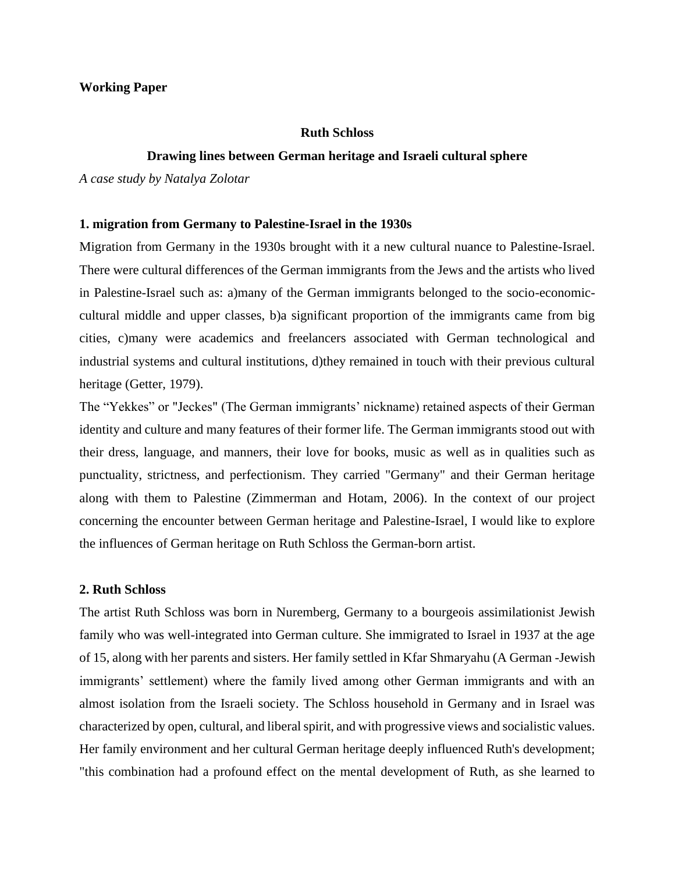#### **Working Paper**

#### **Ruth Schloss**

#### **Drawing lines between German heritage and Israeli cultural sphere**

*A case study by Natalya Zolotar*

#### **1. migration from Germany to Palestine-Israel in the 1930s**

Migration from Germany in the 1930s brought with it a new cultural nuance to Palestine-Israel. There were cultural differences of the German immigrants from the Jews and the artists who lived in Palestine-Israel such as: a)many of the German immigrants belonged to the socio-economiccultural middle and upper classes, b)a significant proportion of the immigrants came from big cities, c)many were academics and freelancers associated with German technological and industrial systems and cultural institutions, d)they remained in touch with their previous cultural heritage (Getter, 1979).

The "Yekkes" or "Jeckes" (The German immigrants' nickname) retained aspects of their German identity and culture and many features of their former life. The German immigrants stood out with their dress, language, and manners, their love for books, music as well as in qualities such as punctuality, strictness, and perfectionism. They carried "Germany" and their German heritage along with them to Palestine (Zimmerman and Hotam, 2006). In the context of our project concerning the encounter between German heritage and Palestine-Israel, I would like to explore the influences of German heritage on Ruth Schloss the German-born artist.

### **2. Ruth Schloss**

The artist Ruth Schloss was born in Nuremberg, Germany to a bourgeois assimilationist Jewish family who was well-integrated into German culture. She immigrated to Israel in 1937 at the age of 15, along with her parents and sisters. Her family settled in Kfar Shmaryahu (A German -Jewish immigrants' settlement) where the family lived among other German immigrants and with an almost isolation from the Israeli society. The Schloss household in Germany and in Israel was characterized by open, cultural, and liberal spirit, and with progressive views and socialistic values. Her family environment and her cultural German heritage deeply influenced Ruth's development; "this combination had a profound effect on the mental development of Ruth, as she learned to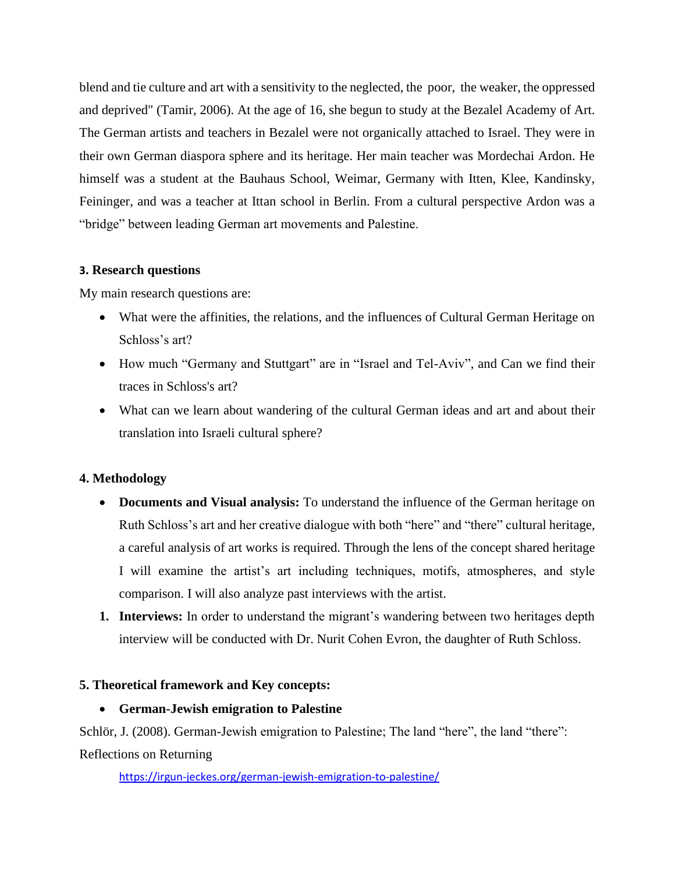blend and tie culture and art with a sensitivity to the neglected, the poor, the weaker, the oppressed and deprived" (Tamir, 2006). At the age of 16, she begun to study at the Bezalel Academy of Art. The German artists and teachers in Bezalel were not organically attached to Israel. They were in their own German diaspora sphere and its heritage. Her main teacher was Mordechai Ardon. He himself was a student at the Bauhaus School, Weimar, Germany with Itten, Klee, Kandinsky, Feininger, and was a teacher at Ittan school in Berlin. From a cultural perspective Ardon was a "bridge" between leading German art movements and Palestine.

# **3. Research questions**

My main research questions are:

- What were the affinities, the relations, and the influences of Cultural German Heritage on Schloss's art?
- How much "Germany and Stuttgart" are in "Israel and Tel-Aviv", and Can we find their traces in Schloss's art?
- What can we learn about wandering of the cultural German ideas and art and about their translation into Israeli cultural sphere?

# **4. Methodology**

- **Documents and Visual analysis:** To understand the influence of the German heritage on Ruth Schloss's art and her creative dialogue with both "here" and "there" cultural heritage, a careful analysis of art works is required. Through the lens of the concept shared heritage I will examine the artist's art including techniques, motifs, atmospheres, and style comparison. I will also analyze past interviews with the artist.
- **1. Interviews:** In order to understand the migrant's wandering between two heritages depth interview will be conducted with Dr. Nurit Cohen Evron, the daughter of Ruth Schloss.

# **5. Theoretical framework and Key concepts:**

# • **German-Jewish emigration to Palestine**

Schlör, J. (2008). German-Jewish emigration to Palestine; The land "here", the land "there":

Reflections on Returning

<https://irgun-jeckes.org/german-jewish-emigration-to-palestine/>